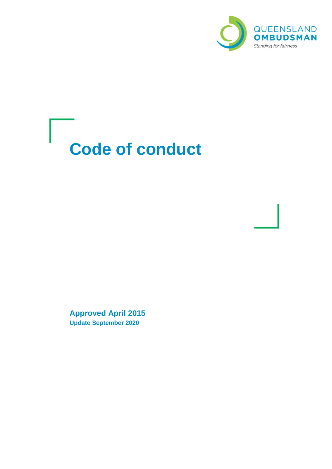

# **Code of conduct**

**Approved April 2015 Update September 2020**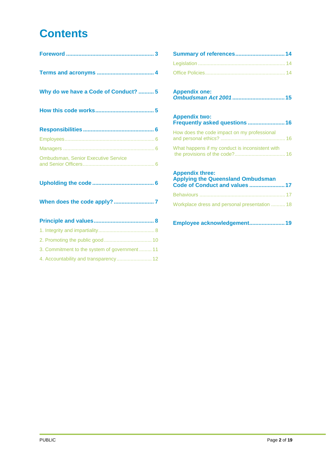# **Contents**

| Why do we have a Code of Conduct?  5         |
|----------------------------------------------|
|                                              |
|                                              |
|                                              |
|                                              |
| <b>Ombudsman, Senior Executive Service</b>   |
|                                              |
|                                              |
|                                              |
|                                              |
|                                              |
| 3. Commitment to the system of government 11 |

| 4. Accountability and transparency 12 |  |  |
|---------------------------------------|--|--|
|---------------------------------------|--|--|

| Summary of references 14 |  |
|--------------------------|--|
|                          |  |
|                          |  |
|                          |  |

| <b>Appendix one:</b> |  |
|----------------------|--|
|                      |  |

#### **[Appendix two:](#page-15-0)  [Frequently asked questions](#page-15-0) ........................16**

| How does the code impact on my professional     |  |
|-------------------------------------------------|--|
| What happens if my conduct is inconsistent with |  |

### **[Appendix three:](#page-16-0)  [Applying the Queensland Ombudsman](#page-16-0)  [Code of Conduct and values](#page-16-0) .......................17** Behaviours [.............................................................](#page-16-1) 17 [Workplace dress and personal presentation](#page-17-0) .......... 18

#### **[Employee acknowledgement.......................19](#page-18-0)**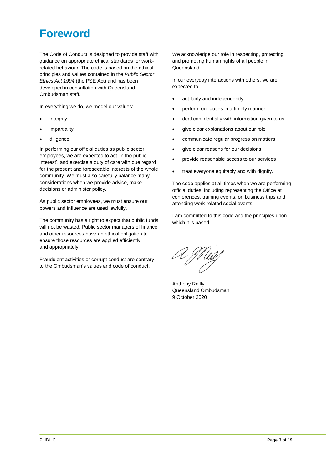# <span id="page-2-0"></span>**Foreword**

The Code of Conduct is designed to provide staff with guidance on appropriate ethical standards for workrelated behaviour. The code is based on the ethical principles and values contained in the *Public Sector Ethics Act 1994* (the PSE Act) and has been developed in consultation with Queensland Ombudsman staff.

In everything we do, we model our values:

- **integrity**
- **impartiality**
- diligence.

In performing our official duties as public sector employees, we are expected to act 'in the public interest', and exercise a duty of care with due regard for the present and foreseeable interests of the whole community. We must also carefully balance many considerations when we provide advice, make decisions or administer policy.

As public sector employees, we must ensure our powers and influence are used lawfully.

The community has a right to expect that public funds will not be wasted. Public sector managers of finance and other resources have an ethical obligation to ensure those resources are applied efficiently and appropriately.

Fraudulent activities or corrupt conduct are contrary to the Ombudsman's values and code of conduct.

We acknowledge our role in respecting, protecting and promoting human rights of all people in Queensland.

In our everyday interactions with others, we are expected to:

- act fairly and independently
- perform our duties in a timely manner
- deal confidentially with information given to us
- give clear explanations about our role
- communicate regular progress on matters
- give clear reasons for our decisions
- provide reasonable access to our services
- treat everyone equitably and with dignity.

The code applies at all times when we are performing official duties, including representing the Office at conferences, training events, on business trips and attending work-related social events.

I am committed to this code and the principles upon which it is based.

A Muy

Anthony Reilly Queensland Ombudsman 9 October 2020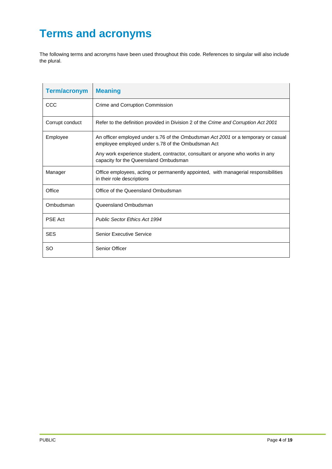# <span id="page-3-0"></span>**Terms and acronyms**

The following terms and acronyms have been used throughout this code. References to singular will also include the plural.

| <b>Term/acronym</b> | <b>Meaning</b>                                                                                                                         |
|---------------------|----------------------------------------------------------------------------------------------------------------------------------------|
| CCC                 | Crime and Corruption Commission                                                                                                        |
| Corrupt conduct     | Refer to the definition provided in Division 2 of the Crime and Corruption Act 2001                                                    |
| Employee            | An officer employed under s.76 of the Ombudsman Act 2001 or a temporary or casual<br>employee employed under s.78 of the Ombudsman Act |
|                     | Any work experience student, contractor, consultant or anyone who works in any<br>capacity for the Queensland Ombudsman                |
| Manager             | Office employees, acting or permanently appointed, with managerial responsibilities<br>in their role descriptions                      |
| Office              | Office of the Queensland Ombudsman                                                                                                     |
| Ombudsman           | Queensland Ombudsman                                                                                                                   |
| PSE Act             | <b>Public Sector Ethics Act 1994</b>                                                                                                   |
| <b>SES</b>          | <b>Senior Executive Service</b>                                                                                                        |
| <b>SO</b>           | Senior Officer                                                                                                                         |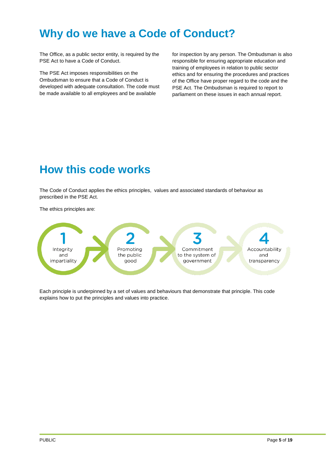# <span id="page-4-0"></span>**Why do we have a Code of Conduct?**

The Office, as a public sector entity, is required by the PSE Act to have a Code of Conduct.

The PSE Act imposes responsibilities on the Ombudsman to ensure that a Code of Conduct is developed with adequate consultation. The code must be made available to all employees and be available

for inspection by any person. The Ombudsman is also responsible for ensuring appropriate education and training of employees in relation to public sector ethics and for ensuring the procedures and practices of the Office have proper regard to the code and the PSE Act. The Ombudsman is required to report to parliament on these issues in each annual report.

# <span id="page-4-1"></span>**How this code works**

The Code of Conduct applies the ethics principles, values and associated standards of behaviour as prescribed in the PSE Act.

The ethics principles are:



Each principle is underpinned by a set of values and behaviours that demonstrate that principle. This code explains how to put the principles and values into practice.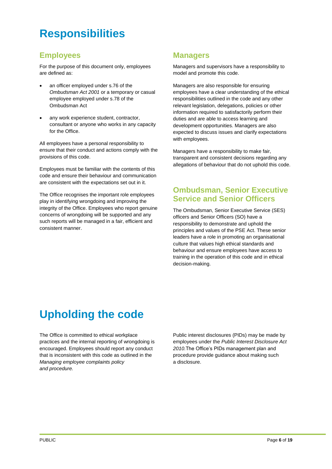# <span id="page-5-0"></span>**Responsibilities**

### <span id="page-5-1"></span>**Employees**

For the purpose of this document only, employees are defined as:

- an officer employed under s.76 of the *Ombudsman Act 2001* or a temporary or casual employee employed under s.78 of the Ombudsman Act
- any work experience student, contractor. consultant or anyone who works in any capacity for the Office.

All employees have a personal responsibility to ensure that their conduct and actions comply with the provisions of this code.

Employees must be familiar with the contents of this code and ensure their behaviour and communication are consistent with the expectations set out in it.

The Office recognises the important role employees play in identifying wrongdoing and improving the integrity of the Office. Employees who report genuine concerns of wrongdoing will be supported and any such reports will be managed in a fair, efficient and consistent manner.

### <span id="page-5-2"></span>**Managers**

Managers and supervisors have a responsibility to model and promote this code.

Managers are also responsible for ensuring employees have a clear understanding of the ethical responsibilities outlined in the code and any other relevant legislation, delegations, policies or other information required to satisfactorily perform their duties and are able to access learning and development opportunities. Managers are also expected to discuss issues and clarify expectations with employees.

Managers have a responsibility to make fair, transparent and consistent decisions regarding any allegations of behaviour that do not uphold this code.

### <span id="page-5-3"></span>**Ombudsman, Senior Executive Service and Senior Officers**

The Ombudsman, Senior Executive Service (SES) officers and Senior Officers (SO) have a responsibility to demonstrate and uphold the principles and values of the PSE Act. These senior leaders have a role in promoting an organisational culture that values high ethical standards and behaviour and ensure employees have access to training in the operation of this code and in ethical decision-making.

# <span id="page-5-4"></span>**Upholding the code**

The Office is committed to ethical workplace practices and the internal reporting of wrongdoing is encouraged. Employees should report any conduct that is inconsistent with this code as outlined in the *Managing employee complaints policy and procedure.*

Public interest disclosures (PIDs) may be made by employees under the *Public Interest Disclosure Act 2010.*The Office's PIDs management plan and procedure provide guidance about making such a disclosure.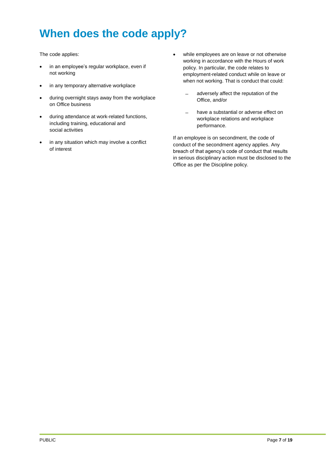# <span id="page-6-0"></span>**When does the code apply?**

The code applies:

- in an employee's regular workplace, even if not working
- in any temporary alternative workplace
- during overnight stays away from the workplace on Office business
- during attendance at work-related functions, including training, educational and social activities
- in any situation which may involve a conflict of interest
- while employees are on leave or not otherwise working in accordance with the Hours of work policy. In particular, the code relates to employment-related conduct while on leave or when not working. That is conduct that could:
	- ̶ adversely affect the reputation of the Office, and/or
	- have a substantial or adverse effect on workplace relations and workplace performance.

If an employee is on secondment, the code of conduct of the secondment agency applies. Any breach of that agency's code of conduct that results in serious disciplinary action must be disclosed to the Office as per the Discipline policy.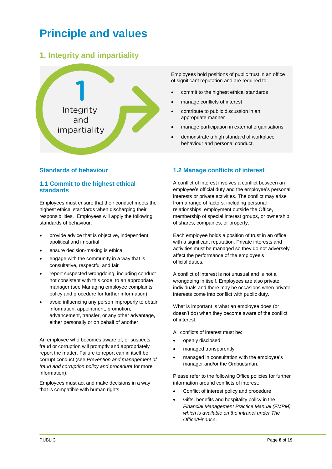# <span id="page-7-0"></span>**Principle and values**

### <span id="page-7-1"></span>**1. Integrity and impartiality**



#### **Standards of behaviour**

#### **1.1 Commit to the highest ethical standards**

Employees must ensure that their conduct meets the highest ethical standards when discharging their responsibilities. Employees will apply the following standards of behaviour:

- provide advice that is objective, independent, apolitical and impartial
- ensure decision-making is ethical
- engage with the community in a way that is consultative, respectful and fair
- report suspected wrongdoing, including conduct not consistent with this code, to an appropriate manager (see Managing employee complaints policy and procedure for further information)
- avoid influencing any person improperly to obtain information, appointment, promotion, advancement, transfer, or any other advantage, either personally or on behalf of another.

An employee who becomes aware of, or suspects, fraud or corruption will promptly and appropriately report the matter. Failure to report can in itself be corrupt conduct (see *Prevention and management of fraud and corruption policy and procedure* for more information).

Employees must act and make decisions in a way that is compatible with human rights.

Employees hold positions of public trust in an office of significant reputation and are required to:

- commit to the highest ethical standards
- manage conflicts of interest
- contribute to public discussion in an appropriate manner
- manage participation in external organisations
- demonstrate a high standard of workplace behaviour and personal conduct.

#### **1.2 Manage conflicts of interest**

A conflict of interest involves a conflict between an employee's official duty and the employee's personal interests or private activities. The conflict may arise from a range of factors, including personal relationships, employment outside the Office, membership of special interest groups, or ownership of shares, companies, or property.

Each employee holds a position of trust in an office with a significant reputation. Private interests and activities must be managed so they do not adversely affect the performance of the employee's official duties.

A conflict of interest is not unusual and is not a wrongdoing in itself. Employees are also private individuals and there may be occasions when private interests come into conflict with public duty.

What is important is what an employee does (or doesn't do) when they become aware of the conflict of interest.

All conflicts of interest must be:

- openly disclosed
- managed transparently
- managed in consultation with the employee's manager and/or the Ombudsman.

Please refer to the following Office policies for further information around conflicts of interest:

- Conflict of interest policy and procedure
- Gifts, benefits and hospitality policy in the *Financial Management Practice Manual (FMPM) which is available on the intranet under The Office/Finance*.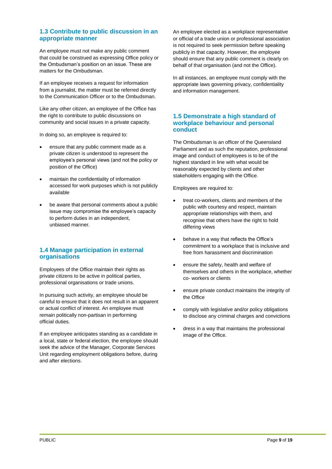#### **1.3 Contribute to public discussion in an appropriate manner**

An employee must not make any public comment that could be construed as expressing Office policy or the Ombudsman's position on an issue. These are matters for the Ombudsman.

If an employee receives a request for information from a journalist, the matter must be referred directly to the Communication Officer or to the Ombudsman.

Like any other citizen, an employee of the Office has the right to contribute to public discussions on community and social issues in a private capacity.

In doing so, an employee is required to:

- ensure that any public comment made as a private citizen is understood to represent the employee's personal views (and not the policy or position of the Office)
- maintain the confidentiality of information accessed for work purposes which is not publicly available
- be aware that personal comments about a public issue may compromise the employee's capacity to perform duties in an independent, unbiased manner.

#### **1.4 Manage participation in external organisations**

Employees of the Office maintain their rights as private citizens to be active in political parties, professional organisations or trade unions.

In pursuing such activity, an employee should be careful to ensure that it does not result in an apparent or actual conflict of interest. An employee must remain politically non-partisan in performing official duties.

If an employee anticipates standing as a candidate in a local, state or federal election, the employee should seek the advice of the Manager, Corporate Services Unit regarding employment obligations before, during and after elections.

An employee elected as a workplace representative or official of a trade union or professional association is not required to seek permission before speaking publicly in that capacity. However, the employee should ensure that any public comment is clearly on behalf of that organisation (and not the Office).

In all instances, an employee must comply with the appropriate laws governing privacy, confidentiality and information management.

#### **1.5 Demonstrate a high standard of workplace behaviour and personal conduct**

The Ombudsman is an officer of the Queensland Parliament and as such the reputation, professional image and conduct of employees is to be of the highest standard in line with what would be reasonably expected by clients and other stakeholders engaging with the Office.

Employees are required to:

- treat co-workers, clients and members of the public with courtesy and respect, maintain appropriate relationships with them, and recognise that others have the right to hold differing views
- behave in a way that reflects the Office's commitment to a workplace that is inclusive and free from harassment and discrimination
- ensure the safety, health and welfare of themselves and others in the workplace, whether co- workers or clients
- ensure private conduct maintains the integrity of the Office
- comply with legislative and/or policy obligations to disclose any criminal charges and convictions
- dress in a way that maintains the professional image of the Office.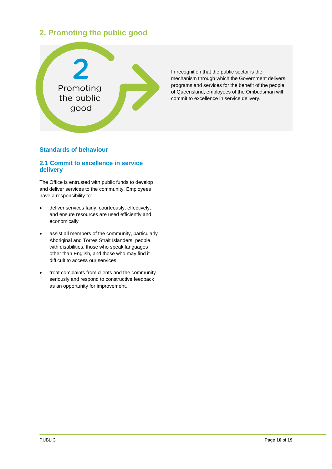### <span id="page-9-0"></span>**2. Promoting the public good**



In recognition that the public sector is the mechanism through which the Government delivers programs and services for the benefit of the people of Queensland, employees of the Ombudsman will commit to excellence in service delivery.

#### **Standards of behaviour**

#### **2.1 Commit to excellence in service delivery**

The Office is entrusted with public funds to develop and deliver services to the community. Employees have a responsibility to:

- deliver services fairly, courteously, effectively, and ensure resources are used efficiently and economically
- assist all members of the community, particularly Aboriginal and Torres Strait Islanders, people with disabilities, those who speak languages other than English, and those who may find it difficult to access our services
- treat complaints from clients and the community seriously and respond to constructive feedback as an opportunity for improvement.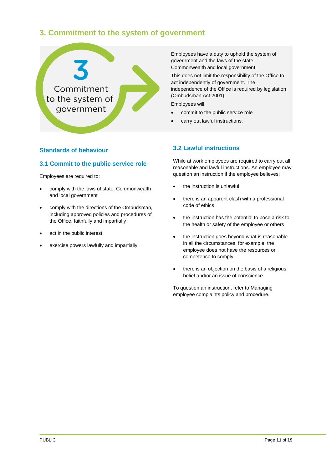### <span id="page-10-0"></span>**3. Commitment to the system of government**



#### **Standards of behaviour**

#### **3.1 Commit to the public service role**

Employees are required to:

- comply with the laws of state, Commonwealth and local government
- comply with the directions of the Ombudsman, including approved policies and procedures of the Office, faithfully and impartially
- act in the public interest
- exercise powers lawfully and impartially.

Employees have a duty to uphold the system of government and the laws of the state, Commonwealth and local government.

This does not limit the responsibility of the Office to act independently of government. The independence of the Office is required by legislation (Ombudsman Act 2001).

Employees will:

- commit to the public service role
- carry out lawful instructions.

#### **3.2 Lawful instructions**

While at work employees are required to carry out all reasonable and lawful instructions. An employee may question an instruction if the employee believes:

- the instruction is unlawful
- there is an apparent clash with a professional code of ethics
- the instruction has the potential to pose a risk to the health or safety of the employee or others
- the instruction goes beyond what is reasonable in all the circumstances, for example, the employee does not have the resources or competence to comply
- there is an objection on the basis of a religious belief and/or an issue of conscience.

To question an instruction, refer to Managing employee complaints policy and procedure.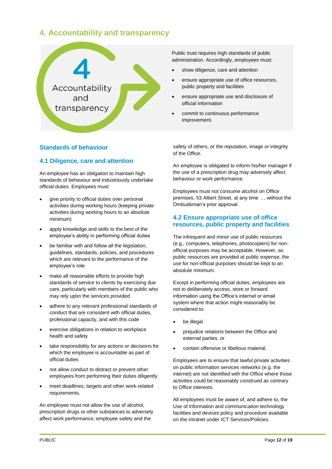### <span id="page-11-0"></span>**4. Accountability and transparency**



#### **Standards of behaviour**

#### **4.1 Diligence, care and attention**

An employee has an obligation to maintain high standards of behaviour and industriously undertake official duties. Employees must:

- give priority to official duties over personal activities during working hours (keeping private activities during working hours to an absolute minimum)
- apply knowledge and skills to the best of the employee's ability in performing official duties
- be familiar with and follow all the legislation, guidelines, standards, policies, and procedures which are relevant to the performance of the employee's role
- make all reasonable efforts to provide high standards of service to clients by exercising due care, particularly with members of the public who may rely upon the services provided
- adhere to any relevant professional standards of conduct that are consistent with official duties, professional capacity, and with this code
- exercise obligations in relation to workplace health and safety
- take responsibility for any actions or decisions for which the employee is accountable as part of official duties
- not allow conduct to distract or prevent other employees from performing their duties diligently
- meet deadlines, targets and other work-related requirements.

An employee must not allow the use of alcohol, prescription drugs or other substances to adversely affect work performance, employee safety and the

Public trust requires high standards of public administration. Accordingly, employees must:

- show diligence, care and attention
- ensure appropriate use of office resources, public property and facilities
- ensure appropriate use and disclosure of official information
- commit to continuous performance improvement.

safety of others, or the reputation, image or integrity of the Office.

An employee is obligated to inform his/her manager if the use of a prescription drug may adversely affect behaviour or work performance.

Employees must not consume alcohol on Office premises, 53 Albert Street, at any time , , without the Ombudsman's prior approval.

#### **4.2 Ensure appropriate use of office resources, public property and facilities**

The infrequent and minor use of public resources (e.g., computers, telephones, photocopiers) for nonofficial purposes may be acceptable. However, as public resources are provided at public expense, the use for non-official purposes should be kept to an absolute minimum.

Except in performing official duties, employees are not to deliberately access, store or forward information using the Office's internet or email system where that action might reasonably be considered to:

- be illegal
- prejudice relations between the Office and external parties, or
- contain offensive or libellous material.

Employees are to ensure that lawful private activities on public information services networks (e.g. the internet) are not identified with the Office where those activities could be reasonably construed as contrary to Office interests.

All employees must be aware of, and adhere to, the Use of information and communication technology facilities and devices policy and procedure available on the intranet under ICT Services/Policies.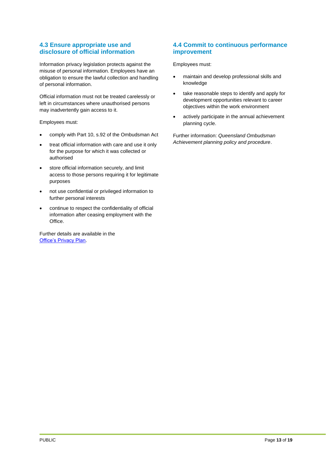#### **4.3 Ensure appropriate use and disclosure of official information**

Information privacy legislation protects against the misuse of personal information. Employees have an obligation to ensure the lawful collection and handling of personal information.

Official information must not be treated carelessly or left in circumstances where unauthorised persons may inadvertently gain access to it.

Employees must:

- comply with Part 10, s.92 of the Ombudsman Act
- treat official information with care and use it only for the purpose for which it was collected or authorised
- store official information securely, and limit access to those persons requiring it for legitimate purposes
- not use confidential or privileged information to further personal interests
- continue to respect the confidentiality of official information after ceasing employment with the Office.

Further details are available in the **[Office's Privacy Plan.](https://intranet/top/PrivacyPlan/tabid/58/Default.aspx)** 

#### **4.4 Commit to continuous performance improvement**

Employees must:

- maintain and develop professional skills and knowledge
- take reasonable steps to identify and apply for development opportunities relevant to career objectives within the work environment
- actively participate in the annual achievement planning cycle.

Further information: *Queensland Ombudsman Achievement planning policy and procedure*.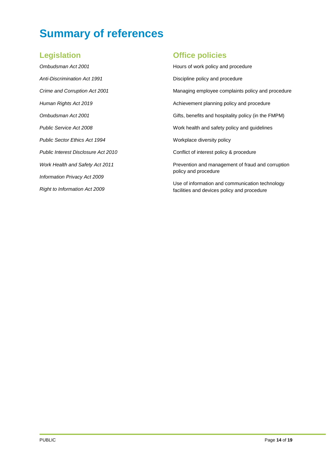# <span id="page-13-0"></span>**Summary of references**

### <span id="page-13-1"></span>**Legislation**

*Ombudsman Act 2001 Anti-Discrimination Act 1991 Crime and Corruption Act 2001 Human Rights Act 2019 Ombudsman Act 2001 Public Service Act 2008 Public Sector Ethics Act 1994 Public Interest Disclosure Act 2010 Work Health and Safety Act 2011 Information Privacy Act 2009 Right to Information Act 2009*

### <span id="page-13-2"></span>**Office policies**

Hours of work policy and procedure Discipline policy and procedure Managing employee complaints policy and procedure Achievement planning policy and procedure Gifts, benefits and hospitality policy (in the FMPM) Work health and safety policy and guidelines Workplace diversity policy Conflict of interest policy & procedure Prevention and management of fraud and corruption policy and procedure

Use of information and communication technology facilities and devices policy and procedure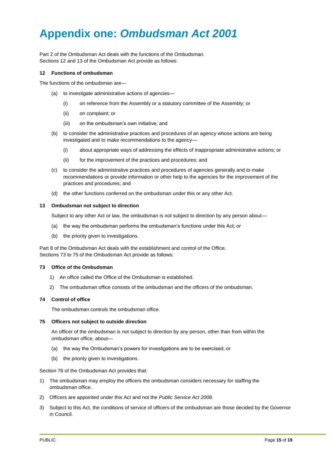# <span id="page-14-0"></span>**Appendix one:** *Ombudsman Act 2001*

Part 2 of the Ombudsman Act deals with the functions of the Ombudsman. Sections 12 and 13 of the Ombudsman Act provide as follows:

#### **12 Functions of ombudsman**

The functions of the ombudsman are—

- (a) to investigate administrative actions of agencies—
	- (i) on reference from the Assembly or a statutory committee of the Assembly; or
	- (ii) on complaint; or
	- (iii) on the ombudsman's own initiative; and
- (b) to consider the administrative practices and procedures of an agency whose actions are being investigated and to make recommendations to the agency—
	- (i) about appropriate ways of addressing the effects of inappropriate administrative actions; or
	- (ii) for the improvement of the practices and procedures; and
- (c) to consider the administrative practices and procedures of agencies generally and to make recommendations or provide information or other help to the agencies for the improvement of the practices and procedures; and
- (d) the other functions conferred on the ombudsman under this or any other Act.

#### **13 Ombudsman not subject to direction**

Subject to any other Act or law, the ombudsman is not subject to direction by any person about—

- (a) the way the ombudsman performs the ombudsman's functions under this Act; or
- (b) the priority given to investigations.

Part 8 of the Ombudsman Act deals with the establishment and control of the Office. Sections 73 to 75 of the Ombudsman Act provide as follows:

#### **73 Office of the Ombudsman**

- 1) An office called the Office of the Ombudsman is established.
- 2) The ombudsman office consists of the ombudsman and the officers of the ombudsman.

#### **74 Control of office**

The ombudsman controls the ombudsman office.

#### **75 Officers not subject to outside direction**

An officer of the ombudsman is not subject to direction by any person, other than from within the ombudsman office, about—

- (a) the way the Ombudsman's powers for investigations are to be exercised; or
- (b) the priority given to investigations.

Section 76 of the Ombudsman Act provides that:

- 1) The ombudsman may employ the officers the ombudsman considers necessary for staffing the ombudsman office.
- 2) Officers are appointed under this Act and not the *Public Service Act 2008*.
- 3) Subject to this Act, the conditions of service of officers of the ombudsman are those decided by the Governor in Council.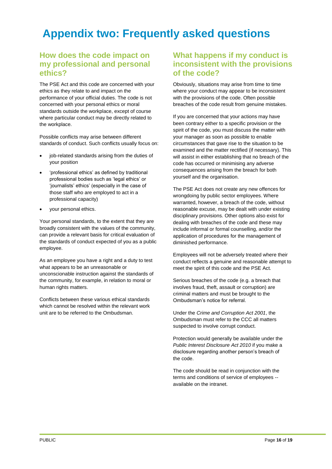# <span id="page-15-0"></span>**Appendix two: Frequently asked questions**

### <span id="page-15-1"></span>**How does the code impact on my professional and personal ethics?**

The PSE Act and this code are concerned with your ethics as they relate to and impact on the performance of your official duties. The code is not concerned with your personal ethics or moral standards outside the workplace, except of course where particular conduct may be directly related to the workplace.

Possible conflicts may arise between different standards of conduct. Such conflicts usually focus on:

- job-related standards arising from the duties of your position
- 'professional ethics' as defined by traditional professional bodies such as 'legal ethics' or 'journalists' ethics' (especially in the case of those staff who are employed to act in a professional capacity)
- your personal ethics.

Your personal standards, to the extent that they are broadly consistent with the values of the community, can provide a relevant basis for critical evaluation of the standards of conduct expected of you as a public employee.

As an employee you have a right and a duty to test what appears to be an unreasonable or unconscionable instruction against the standards of the community, for example, in relation to moral or human rights matters.

Conflicts between these various ethical standards which cannot be resolved within the relevant work unit are to be referred to the Ombudsman.

### <span id="page-15-2"></span>**What happens if my conduct is inconsistent with the provisions of the code?**

Obviously, situations may arise from time to time where your conduct may appear to be inconsistent with the provisions of the code. Often possible breaches of the code result from genuine mistakes.

If you are concerned that your actions may have been contrary either to a specific provision or the spirit of the code, you must discuss the matter with your manager as soon as possible to enable circumstances that gave rise to the situation to be examined and the matter rectified (if necessary). This will assist in either establishing that no breach of the code has occurred or minimising any adverse consequences arising from the breach for both yourself and the organisation.

The PSE Act does not create any new offences for wrongdoing by public sector employees. Where warranted, however, a breach of the code, without reasonable excuse, may be dealt with under existing disciplinary provisions. Other options also exist for dealing with breaches of the code and these may include informal or formal counselling, and/or the application of procedures for the management of diminished performance.

Employees will not be adversely treated where their conduct reflects a genuine and reasonable attempt to meet the spirit of this code and the PSE Act.

Serious breaches of the code (e.g. a breach that involves fraud, theft, assault or corruption) are criminal matters and must be brought to the Ombudsman's notice for referral.

Under the *Crime and Corruption Act 2001*, the Ombudsman must refer to the CCC all matters suspected to involve corrupt conduct.

Protection would generally be available under the *Public Interest Disclosure Act 2010* if you make a disclosure regarding another person's breach of the code.

The code should be read in conjunction with the terms and conditions of service of employees - available on the intranet.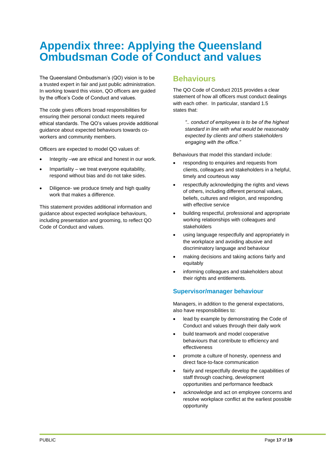## <span id="page-16-0"></span>**Appendix three: Applying the Queensland Ombudsman Code of Conduct and values**

The Queensland Ombudsman's (QO) vision is to be a trusted expert in fair and just public administration. In working toward this vision, QO officers are guided by the office's Code of Conduct and values.

The code gives officers broad responsibilities for ensuring their personal conduct meets required ethical standards. The QO's values provide additional guidance about expected behaviours towards coworkers and community members.

Officers are expected to model QO values of:

- Integrity –we are ethical and honest in our work.
- Impartiality we treat everyone equitability, respond without bias and do not take sides.
- Diligence- we produce timely and high quality work that makes a difference.

This statement provides additional information and guidance about expected workplace behaviours, including presentation and grooming, to reflect QO Code of Conduct and values.

### <span id="page-16-1"></span>**Behaviours**

The QO Code of Conduct 2015 provides a clear statement of how all officers must conduct dealings with each other. In particular, standard 1.5 states that:

> *".. conduct of employees is to be of the highest standard in line with what would be reasonably expected by clients and others stakeholders engaging with the office."*

Behaviours that model this standard include:

- responding to enquiries and requests from clients, colleagues and stakeholders in a helpful, timely and courteous way
- respectfully acknowledging the rights and views of others, including different personal values, beliefs, cultures and religion, and responding with effective service
- building respectful, professional and appropriate working relationships with colleagues and stakeholders
- using language respectfully and appropriately in the workplace and avoiding abusive and discriminatory language and behaviour
- making decisions and taking actions fairly and equitably
- informing colleagues and stakeholders about their rights and entitlements.

#### **Supervisor/manager behaviour**

Managers, in addition to the general expectations, also have responsibilities to:

- lead by example by demonstrating the Code of Conduct and values through their daily work
- build teamwork and model cooperative behaviours that contribute to efficiency and effectiveness
- promote a culture of honesty, openness and direct face-to-face communication
- fairly and respectfully develop the capabilities of staff through coaching, development opportunities and performance feedback
- acknowledge and act on employee concerns and resolve workplace conflict at the earliest possible opportunity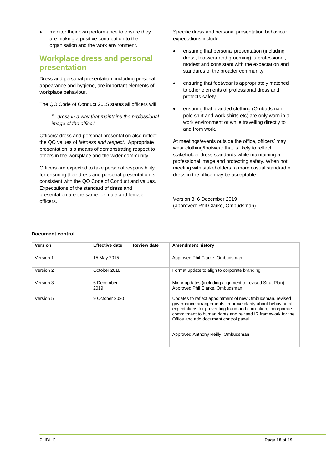• monitor their own performance to ensure they are making a positive contribution to the organisation and the work environment.

### <span id="page-17-0"></span>**Workplace dress and personal presentation**

Dress and personal presentation, including personal appearance and hygiene, are important elements of workplace behaviour.

The QO Code of Conduct 2015 states all officers will

*".. dress in a way that maintains the professional image of the office.'*

Officers' dress and personal presentation also reflect the QO values of *fairness and respect*. Appropriate presentation is a means of demonstrating respect to others in the workplace and the wider community.

Officers are expected to take personal responsibility for ensuring their dress and personal presentation is consistent with the QO Code of Conduct and values. Expectations of the standard of dress and presentation are the same for male and female officers.

Specific dress and personal presentation behaviour expectations include:

- ensuring that personal presentation (including dress, footwear and grooming) is professional, modest and consistent with the expectation and standards of the broader community
- ensuring that footwear is appropriately matched to other elements of professional dress and protects safety
- ensuring that branded clothing (Ombudsman polo shirt and work shirts etc) are only worn in a work environment or while travelling directly to and from work.

At meetings/events outside the office, officers' may wear clothing/footwear that is likely to reflect stakeholder dress standards while maintaining a professional image and protecting safety. When not meeting with stakeholders, a more casual standard of dress in the office may be acceptable.

Version 3, 6 December 2019 (approved: Phil Clarke, Ombudsman)

#### **Document control**

| <b>Version</b> | <b>Effective date</b> | <b>Review date</b> | <b>Amendment history</b>                                                                                                                                                                                                                                                                                                               |
|----------------|-----------------------|--------------------|----------------------------------------------------------------------------------------------------------------------------------------------------------------------------------------------------------------------------------------------------------------------------------------------------------------------------------------|
| Version 1      | 15 May 2015           |                    | Approved Phil Clarke, Ombudsman                                                                                                                                                                                                                                                                                                        |
| Version 2      | October 2018          |                    | Format update to align to corporate branding.                                                                                                                                                                                                                                                                                          |
| Version 3      | 6 December<br>2019    |                    | Minor updates (including alignment to revised Strat Plan),<br>Approved Phil Clarke, Ombudsman                                                                                                                                                                                                                                          |
| Version 5      | 9 October 2020        |                    | Updates to reflect appointment of new Ombudsman, revised<br>governance arrangements, improve clarity about behavioural<br>expectations for preventing fraud and corruption, incorporate<br>commitment to human rights and revised IR framework for the<br>Office and add document control panel.<br>Approved Anthony Reilly, Ombudsman |
|                |                       |                    |                                                                                                                                                                                                                                                                                                                                        |